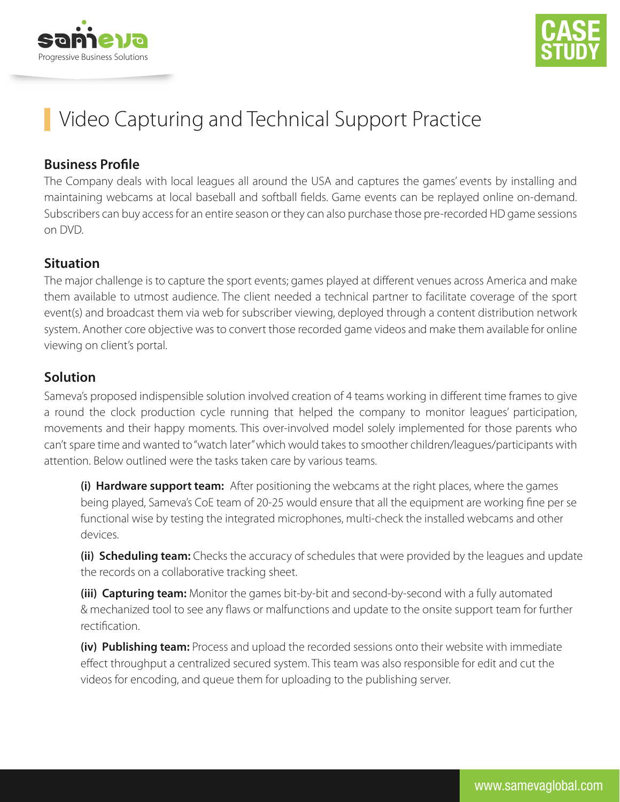



# Video Capturing and Technical Support Practice

#### **Business Profile**

The Company deals with local leagues all around the USA and captures the games' events by installing and maintaining webcams at local baseball and softball fields. Game events can be replayed online on-demand. Subscribers can buy access for an entire season or they can also purchase those pre-recorded HD game sessions on DVD.

#### **Situation**

The major challenge is to capture the sport events; games played at different venues across America and make them available to utmost audience. The client needed a technical partner to facilitate coverage of the sport event(s) and broadcast them via web for subscriber viewing, deployed through a content distribution network system. Another core objective was to convert those recorded game videos and make them available for online viewing on client's portal.

### **Solution**

Sameva's proposed indispensible solution involved creation of 4 teams working in different time frames to give a round the clock production cycle running that helped the company to monitor leagues' participation, movements and their happy moments. This over-involved model solely implemented for those parents who can't spare time and wanted to "watch later" which would takes to smoother children/leagues/participants with attention. Below outlined were the tasks taken care by various teams.

 **(i) Hardware support team:** After positioning the webcams at the right places, where the games being played, Sameva's CoE team of 20-25 would ensure that all the equipment are working fine per se functional wise by testing the integrated microphones, multi-check the installed webcams and other devices.

 **(ii) Scheduling team:** Checks the accuracy of schedules that were provided by the leagues and update the records on a collaborative tracking sheet.

 **(iii) Capturing team:** Monitor the games bit-by-bit and second-by-second with a fully automated & mechanized tool to see any flaws or malfunctions and update to the onsite support team for further rectification

 **(iv) Publishing team:** Process and upload the recorded sessions onto their website with immediate effect throughput a centralized secured system. This team was also responsible for edit and cut the videos for encoding, and queue them for uploading to the publishing server.